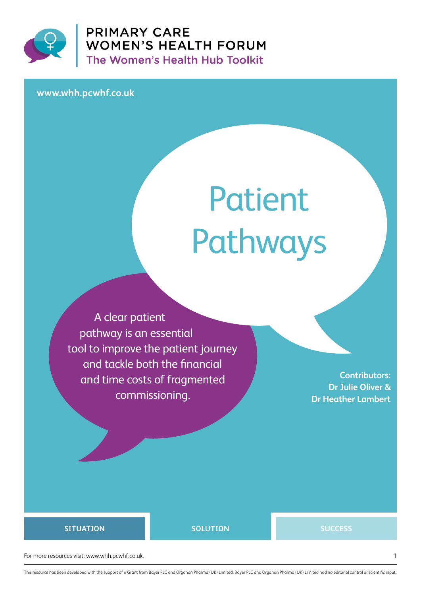

**PRIMARY CARE** WOMEN'S HEALTH FORUM<br>The Women's Health Hub Toolkit

**www.whh.pcwhf.co.uk**

# Patient Pathways

A clear patient pathway is an essential tool to improve the patient journey and tackle both the financial and time costs of fragmented commissioning.

**Contributors: Dr Julie Oliver & Dr Heather Lambert**

#### **SITUATION SOLUTION SUCCESS**

For more resources visit: www.whh.pcwhf.co.uk. 1

This resource has been developed with the support of a Grant from Bayer PLC and Organon Pharma (UK) Limited. Bayer PLC and Organon Pharma (UK) Limited had no editorial control or scientific input.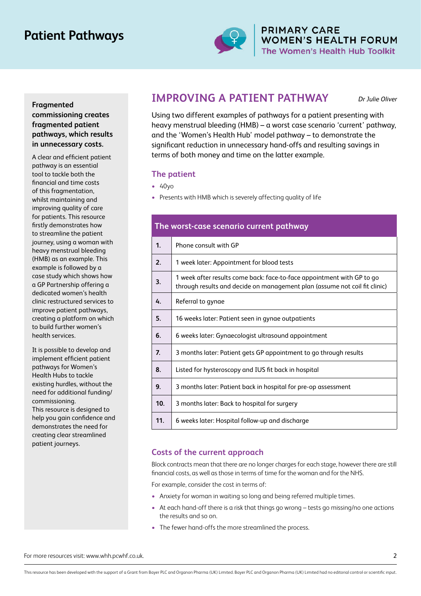## **Patient Pathways**



**PRIMARY CARE** WOMEN'S HEALTH FORUM The Women's Health Hub Toolkit

#### **Fragmented commissioning creates fragmented patient pathways, which results in unnecessary costs.**

A clear and efficient patient pathway is an essential tool to tackle both the financial and time costs of this fragmentation, whilst maintaining and improving quality of care for patients. This resource firstly demonstrates how to streamline the patient journey, using a woman with heavy menstrual bleeding (HMB) as an example. This example is followed by a case study which shows how a GP Partnership offering a dedicated women's health clinic restructured services to improve patient pathways, creating a platform on which to build further women's health services.

It is possible to develop and implement efficient patient pathways for Women's Health Hubs to tackle existing hurdles, without the need for additional funding/ commissioning. This resource is designed to help you gain confidence and demonstrates the need for creating clear streamlined patient journeys.

### **IMPROVING A PATIENT PATHWAY**

Dr Julie Oliver

Using two different examples of pathways for a patient presenting with heavy menstrual bleeding (HMB) – a worst case scenario 'current' pathway, and the 'Women's Health Hub' model pathway – to demonstrate the significant reduction in unnecessary hand-offs and resulting savings in terms of both money and time on the latter example.

#### **The patient**

- **•** 40yo
- **•** Presents with HMB which is severely affecting quality of life

| The worst-case scenario current pathway |                                                                                                                                                      |
|-----------------------------------------|------------------------------------------------------------------------------------------------------------------------------------------------------|
| $\mathbf{1}$                            | Phone consult with GP                                                                                                                                |
| 2.                                      | 1 week later: Appointment for blood tests                                                                                                            |
| 3.                                      | 1 week after results come back: face-to-face appointment with GP to go<br>through results and decide on management plan (assume not coil fit clinic) |
| 4.                                      | Referral to gynae                                                                                                                                    |
| 5.                                      | 16 weeks later: Patient seen in gynae outpatients                                                                                                    |
| 6.                                      | 6 weeks later: Gynaecologist ultrasound appointment                                                                                                  |
| $\overline{z}$                          | 3 months later: Patient gets GP appointment to go through results                                                                                    |
| 8.                                      | Listed for hysteroscopy and IUS fit back in hospital                                                                                                 |
| 9.                                      | 3 months later: Patient back in hospital for pre-op assessment                                                                                       |
| 10 <sub>1</sub>                         | 3 months later: Back to hospital for surgery                                                                                                         |
| 11.                                     | 6 weeks later: Hospital follow-up and discharge                                                                                                      |

#### **Costs of the current approach**

Block contracts mean that there are no longer charges for each stage, however there are still financial costs, as well as those in terms of time for the woman and for the NHS.

For example, consider the cost in terms of:

- **•** Anxiety for woman in waiting so long and being referred multiple times.
- **•** At each hand-off there is a risk that things go wrong tests go missing/no one actions the results and so on.
- **•** The fewer hand-offs the more streamlined the process.

For more resources visit: www.whh.pcwhf.co.uk. 2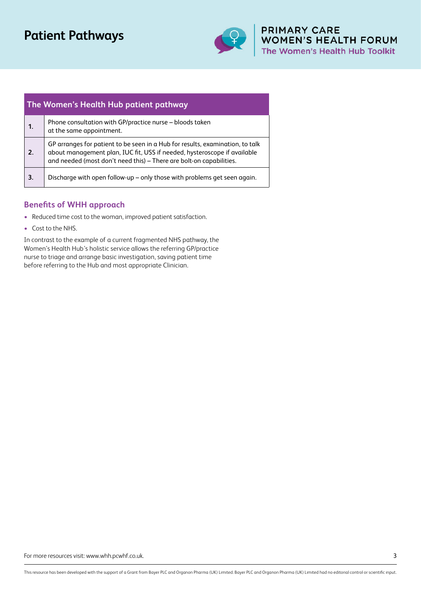## **Patient Pathways**



## **PRIMARY CARE<br>WOMEN'S HEALTH FORUM<br>The Women's Health Hub Toolkit**

| The Women's Health Hub patient pathway |                                                                                                                                                                                                                                  |
|----------------------------------------|----------------------------------------------------------------------------------------------------------------------------------------------------------------------------------------------------------------------------------|
| 1.                                     | Phone consultation with GP/practice nurse – bloods taken<br>at the same appointment.                                                                                                                                             |
| 2.                                     | GP arranges for patient to be seen in a Hub for results, examination, to talk<br>about management plan, IUC fit, USS if needed, hysteroscope if available<br>and needed (most don't need this) - There are bolt-on capabilities. |
| 3.                                     | Discharge with open follow-up - only those with problems get seen again.                                                                                                                                                         |

#### **Benefits of WHH approach**

- **•** Reduced time cost to the woman, improved patient satisfaction.
- **•** Cost to the NHS.

In contrast to the example of a current fragmented NHS pathway, the Women's Health Hub's holistic service allows the referring GP/practice nurse to triage and arrange basic investigation, saving patient time before referring to the Hub and most appropriate Clinician.